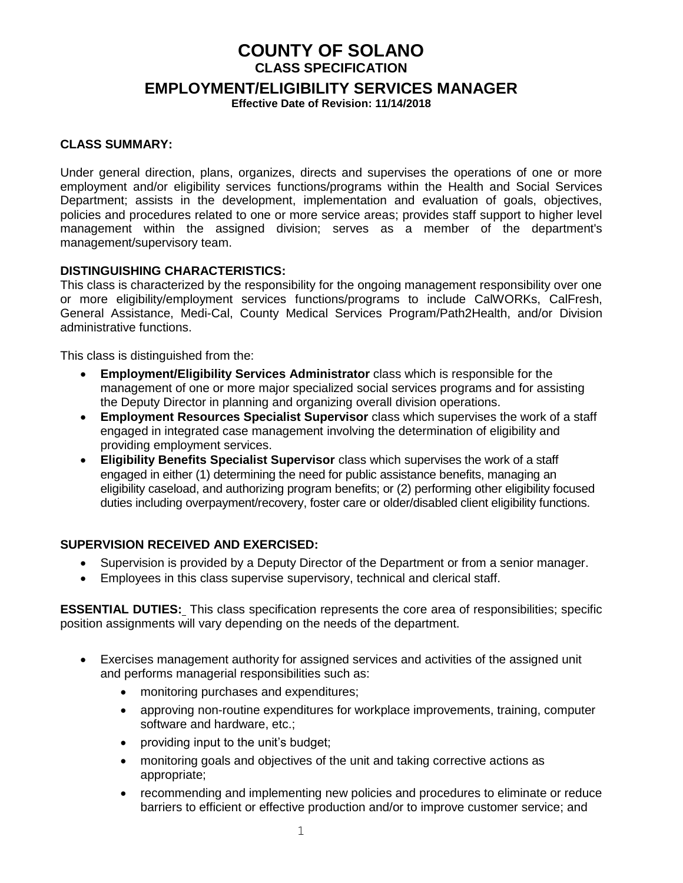# **COUNTY OF SOLANO CLASS SPECIFICATION**

**EMPLOYMENT/ELIGIBILITY SERVICES MANAGER**

**Effective Date of Revision: 11/14/2018**

## **CLASS SUMMARY:**

Under general direction, plans, organizes, directs and supervises the operations of one or more employment and/or eligibility services functions/programs within the Health and Social Services Department; assists in the development, implementation and evaluation of goals, objectives, policies and procedures related to one or more service areas; provides staff support to higher level management within the assigned division; serves as a member of the department's management/supervisory team.

## **DISTINGUISHING CHARACTERISTICS:**

This class is characterized by the responsibility for the ongoing management responsibility over one or more eligibility/employment services functions/programs to include CalWORKs, CalFresh, General Assistance, Medi-Cal, County Medical Services Program/Path2Health, and/or Division administrative functions.

This class is distinguished from the:

- **Employment/Eligibility Services Administrator** class which is responsible for the management of one or more major specialized social services programs and for assisting the Deputy Director in planning and organizing overall division operations.
- **Employment Resources Specialist Supervisor** class which supervises the work of a staff engaged in integrated case management involving the determination of eligibility and providing employment services.
- **Eligibility Benefits Specialist Supervisor** class which supervises the work of a staff engaged in either (1) determining the need for public assistance benefits, managing an eligibility caseload, and authorizing program benefits; or (2) performing other eligibility focused duties including overpayment/recovery, foster care or older/disabled client eligibility functions.

### **SUPERVISION RECEIVED AND EXERCISED:**

- Supervision is provided by a Deputy Director of the Department or from a senior manager.
- Employees in this class supervise supervisory, technical and clerical staff.

**ESSENTIAL DUTIES:** This class specification represents the core area of responsibilities; specific position assignments will vary depending on the needs of the department.

- Exercises management authority for assigned services and activities of the assigned unit and performs managerial responsibilities such as:
	- monitoring purchases and expenditures;
	- approving non-routine expenditures for workplace improvements, training, computer software and hardware, etc.;
	- providing input to the unit's budget;
	- monitoring goals and objectives of the unit and taking corrective actions as appropriate;
	- recommending and implementing new policies and procedures to eliminate or reduce barriers to efficient or effective production and/or to improve customer service; and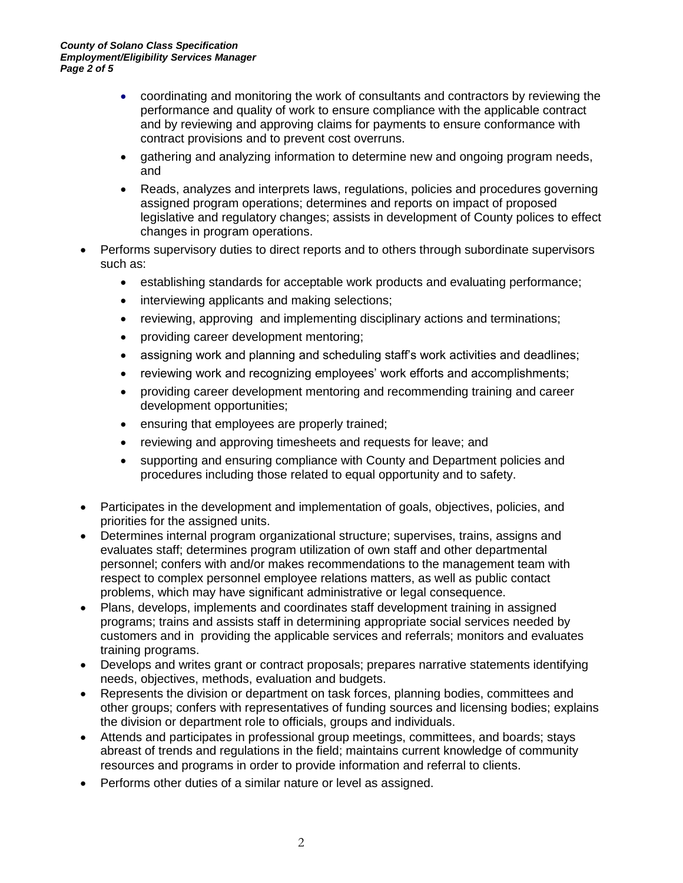- coordinating and monitoring the work of consultants and contractors by reviewing the performance and quality of work to ensure compliance with the applicable contract and by reviewing and approving claims for payments to ensure conformance with contract provisions and to prevent cost overruns.
- gathering and analyzing information to determine new and ongoing program needs, and
- Reads, analyzes and interprets laws, regulations, policies and procedures governing assigned program operations; determines and reports on impact of proposed legislative and regulatory changes; assists in development of County polices to effect changes in program operations.
- Performs supervisory duties to direct reports and to others through subordinate supervisors such as:
	- establishing standards for acceptable work products and evaluating performance;
	- interviewing applicants and making selections;
	- reviewing, approving and implementing disciplinary actions and terminations;
	- providing career development mentoring;
	- assigning work and planning and scheduling staff's work activities and deadlines;
	- reviewing work and recognizing employees' work efforts and accomplishments;
	- providing career development mentoring and recommending training and career development opportunities;
	- ensuring that employees are properly trained;
	- reviewing and approving timesheets and requests for leave; and
	- supporting and ensuring compliance with County and Department policies and procedures including those related to equal opportunity and to safety.
- Participates in the development and implementation of goals, objectives, policies, and priorities for the assigned units.
- Determines internal program organizational structure; supervises, trains, assigns and evaluates staff; determines program utilization of own staff and other departmental personnel; confers with and/or makes recommendations to the management team with respect to complex personnel employee relations matters, as well as public contact problems, which may have significant administrative or legal consequence.
- Plans, develops, implements and coordinates staff development training in assigned programs; trains and assists staff in determining appropriate social services needed by customers and in providing the applicable services and referrals; monitors and evaluates training programs.
- Develops and writes grant or contract proposals; prepares narrative statements identifying needs, objectives, methods, evaluation and budgets.
- Represents the division or department on task forces, planning bodies, committees and other groups; confers with representatives of funding sources and licensing bodies; explains the division or department role to officials, groups and individuals.
- Attends and participates in professional group meetings, committees, and boards; stays abreast of trends and regulations in the field; maintains current knowledge of community resources and programs in order to provide information and referral to clients.
- Performs other duties of a similar nature or level as assigned.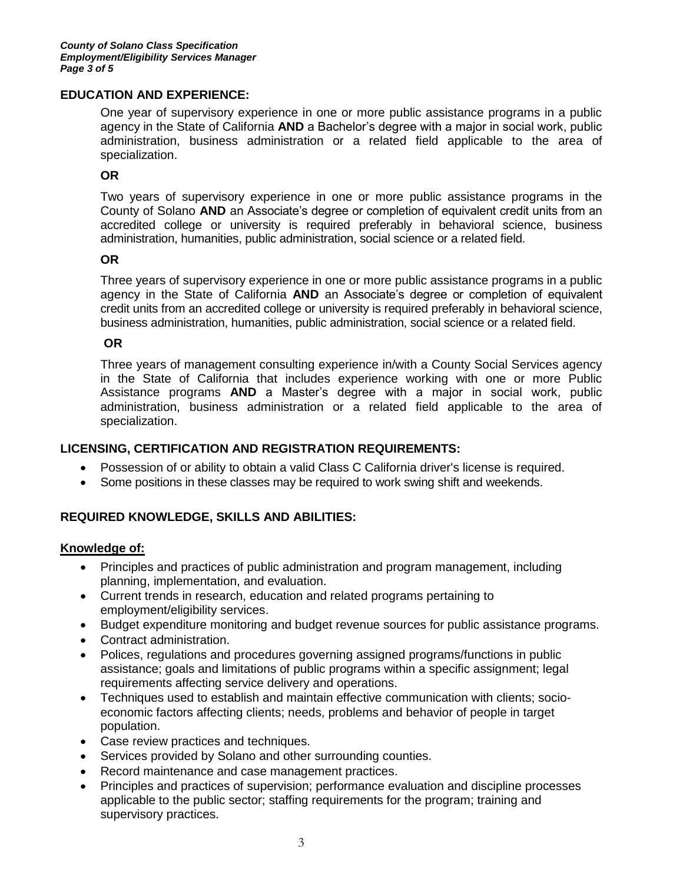### **EDUCATION AND EXPERIENCE:**

One year of supervisory experience in one or more public assistance programs in a public agency in the State of California **AND** a Bachelor's degree with a major in social work, public administration, business administration or a related field applicable to the area of specialization.

### **OR**

Two years of supervisory experience in one or more public assistance programs in the County of Solano **AND** an Associate's degree or completion of equivalent credit units from an accredited college or university is required preferably in behavioral science, business administration, humanities, public administration, social science or a related field.

### **OR**

Three years of supervisory experience in one or more public assistance programs in a public agency in the State of California **AND** an Associate's degree or completion of equivalent credit units from an accredited college or university is required preferably in behavioral science, business administration, humanities, public administration, social science or a related field.

### **OR**

Three years of management consulting experience in/with a County Social Services agency in the State of California that includes experience working with one or more Public Assistance programs **AND** a Master's degree with a major in social work, public administration, business administration or a related field applicable to the area of specialization.

## **LICENSING, CERTIFICATION AND REGISTRATION REQUIREMENTS:**

- Possession of or ability to obtain a valid Class C California driver's license is required.
- Some positions in these classes may be required to work swing shift and weekends.

## **REQUIRED KNOWLEDGE, SKILLS AND ABILITIES:**

### **Knowledge of:**

- Principles and practices of public administration and program management, including planning, implementation, and evaluation.
- Current trends in research, education and related programs pertaining to employment/eligibility services.
- Budget expenditure monitoring and budget revenue sources for public assistance programs.
- Contract administration.
- Polices, regulations and procedures governing assigned programs/functions in public assistance; goals and limitations of public programs within a specific assignment; legal requirements affecting service delivery and operations.
- Techniques used to establish and maintain effective communication with clients; socioeconomic factors affecting clients; needs, problems and behavior of people in target population.
- Case review practices and techniques.
- Services provided by Solano and other surrounding counties.
- Record maintenance and case management practices.
- Principles and practices of supervision; performance evaluation and discipline processes applicable to the public sector; staffing requirements for the program; training and supervisory practices.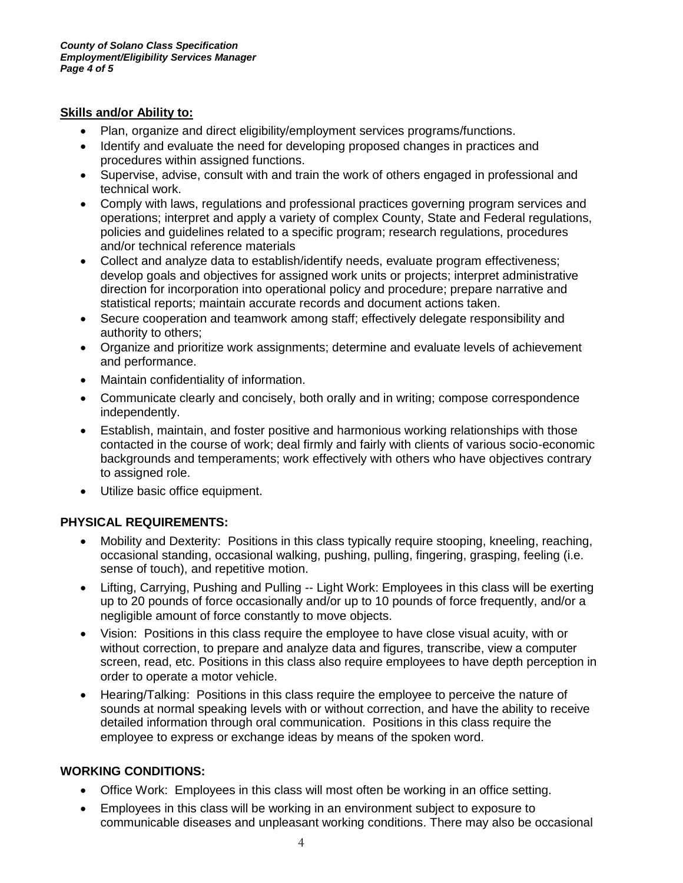## **Skills and/or Ability to:**

- Plan, organize and direct eligibility/employment services programs/functions.
- Identify and evaluate the need for developing proposed changes in practices and procedures within assigned functions.
- Supervise, advise, consult with and train the work of others engaged in professional and technical work.
- Comply with laws, regulations and professional practices governing program services and operations; interpret and apply a variety of complex County, State and Federal regulations, policies and guidelines related to a specific program; research regulations, procedures and/or technical reference materials
- Collect and analyze data to establish/identify needs, evaluate program effectiveness; develop goals and objectives for assigned work units or projects; interpret administrative direction for incorporation into operational policy and procedure; prepare narrative and statistical reports; maintain accurate records and document actions taken.
- Secure cooperation and teamwork among staff; effectively delegate responsibility and authority to others;
- Organize and prioritize work assignments; determine and evaluate levels of achievement and performance.
- Maintain confidentiality of information.
- Communicate clearly and concisely, both orally and in writing; compose correspondence independently.
- Establish, maintain, and foster positive and harmonious working relationships with those contacted in the course of work; deal firmly and fairly with clients of various socio-economic backgrounds and temperaments; work effectively with others who have objectives contrary to assigned role.
- Utilize basic office equipment.

# **PHYSICAL REQUIREMENTS:**

- Mobility and Dexterity: Positions in this class typically require stooping, kneeling, reaching, occasional standing, occasional walking, pushing, pulling, fingering, grasping, feeling (i.e. sense of touch), and repetitive motion.
- Lifting, Carrying, Pushing and Pulling -- Light Work: Employees in this class will be exerting up to 20 pounds of force occasionally and/or up to 10 pounds of force frequently, and/or a negligible amount of force constantly to move objects.
- Vision: Positions in this class require the employee to have close visual acuity, with or without correction, to prepare and analyze data and figures, transcribe, view a computer screen, read, etc. Positions in this class also require employees to have depth perception in order to operate a motor vehicle.
- Hearing/Talking: Positions in this class require the employee to perceive the nature of sounds at normal speaking levels with or without correction, and have the ability to receive detailed information through oral communication. Positions in this class require the employee to express or exchange ideas by means of the spoken word.

## **WORKING CONDITIONS:**

- Office Work: Employees in this class will most often be working in an office setting.
- Employees in this class will be working in an environment subject to exposure to communicable diseases and unpleasant working conditions. There may also be occasional